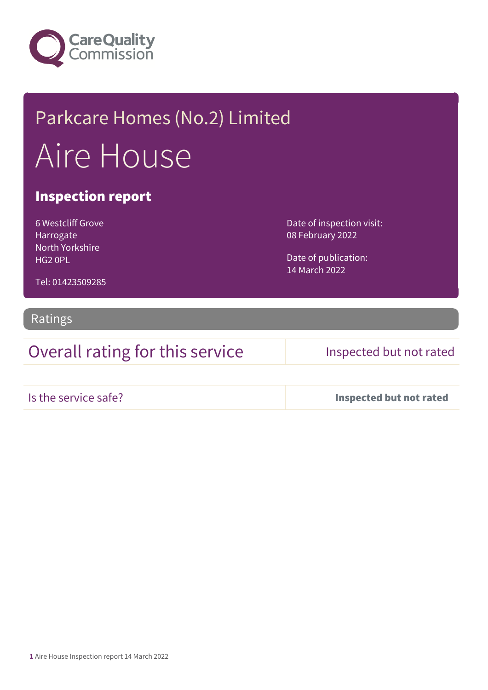

# Parkcare Homes (No.2) Limited Aire House

## Inspection report

6 Westcliff Grove Harrogate North Yorkshire HG2 0PL

Date of inspection visit: 08 February 2022

Date of publication: 14 March 2022

Tel: 01423509285

### Ratings

Overall rating for this service Inspected but not rated

Is the service safe? Inspected but not rated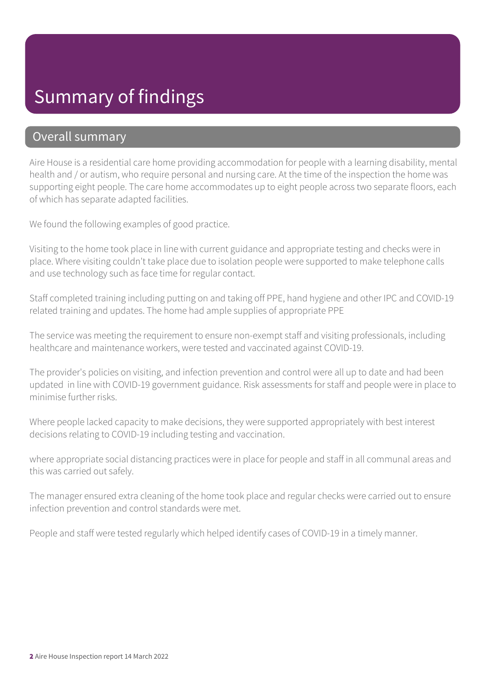## Summary of findings

## Overall summary

Aire House is a residential care home providing accommodation for people with a learning disability, mental health and / or autism, who require personal and nursing care. At the time of the inspection the home was supporting eight people. The care home accommodates up to eight people across two separate floors, each of which has separate adapted facilities.

We found the following examples of good practice.

Visiting to the home took place in line with current guidance and appropriate testing and checks were in place. Where visiting couldn't take place due to isolation people were supported to make telephone calls and use technology such as face time for regular contact.

Staff completed training including putting on and taking off PPE, hand hygiene and other IPC and COVID-19 related training and updates. The home had ample supplies of appropriate PPE

The service was meeting the requirement to ensure non-exempt staff and visiting professionals, including healthcare and maintenance workers, were tested and vaccinated against COVID-19.

The provider's policies on visiting, and infection prevention and control were all up to date and had been updated in line with COVID-19 government guidance. Risk assessments for staff and people were in place to minimise further risks.

Where people lacked capacity to make decisions, they were supported appropriately with best interest decisions relating to COVID-19 including testing and vaccination.

where appropriate social distancing practices were in place for people and staff in all communal areas and this was carried out safely.

The manager ensured extra cleaning of the home took place and regular checks were carried out to ensure infection prevention and control standards were met.

People and staff were tested regularly which helped identify cases of COVID-19 in a timely manner.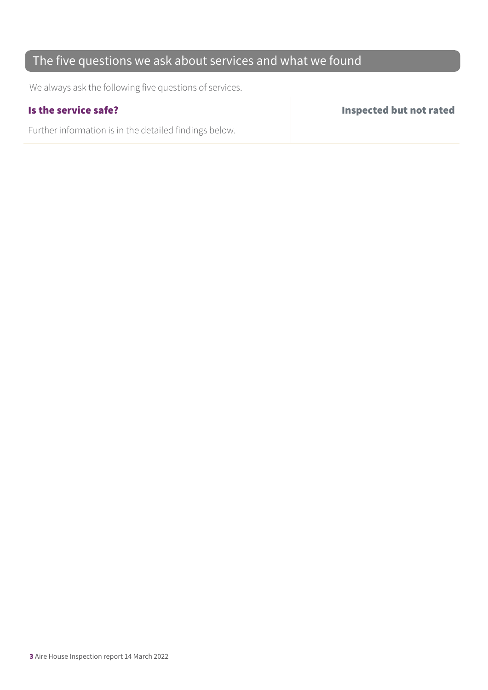## The five questions we ask about services and what we found

We always ask the following five questions of services.

Further information is in the detailed findings below.

Is the service safe? Inspected but not rated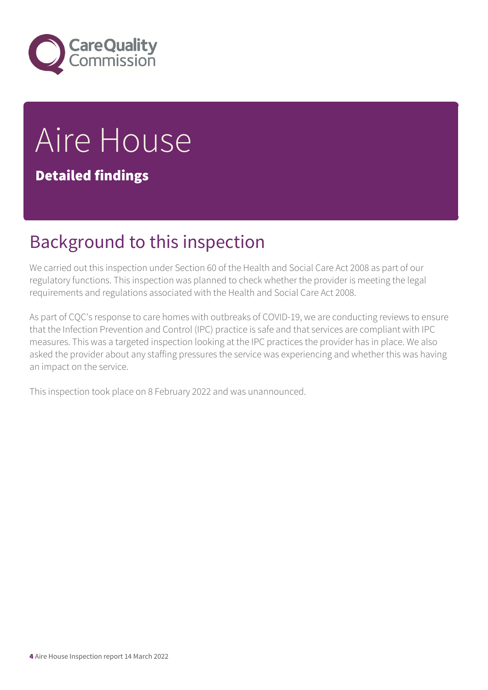

# Aire House

Detailed findings

# Background to this inspection

We carried out this inspection under Section 60 of the Health and Social Care Act 2008 as part of our regulatory functions. This inspection was planned to check whether the provider is meeting the legal requirements and regulations associated with the Health and Social Care Act 2008.

As part of CQC's response to care homes with outbreaks of COVID-19, we are conducting reviews to ensure that the Infection Prevention and Control (IPC) practice is safe and that services are compliant with IPC measures. This was a targeted inspection looking at the IPC practices the provider has in place. We also asked the provider about any staffing pressures the service was experiencing and whether this was having an impact on the service.

This inspection took place on 8 February 2022 and was unannounced.